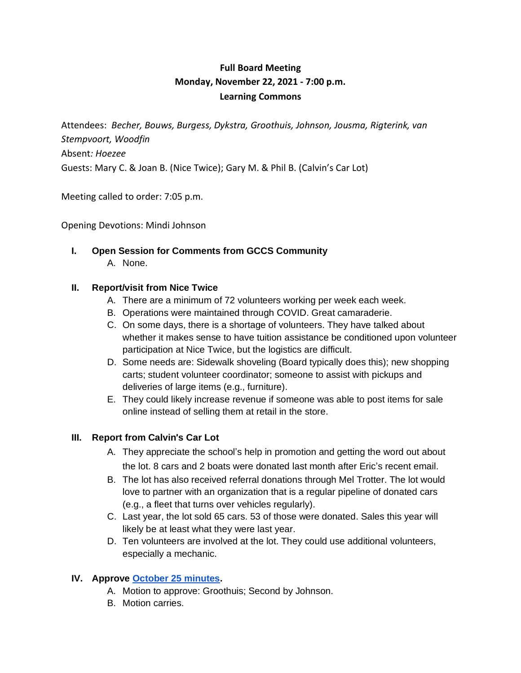# **Full Board Meeting Monday, November 22, 2021 - 7:00 p.m. Learning Commons**

Attendees: *Becher, Bouws, Burgess, Dykstra, Groothuis, Johnson, Jousma, Rigterink, van Stempvoort, Woodfin* Absent*: Hoezee* Guests: Mary C. & Joan B. (Nice Twice); Gary M. & Phil B. (Calvin's Car Lot)

Meeting called to order: 7:05 p.m.

Opening Devotions: Mindi Johnson

**I. Open Session for Comments from GCCS Community** A. None.

#### **II. Report/visit from Nice Twice**

- A. There are a minimum of 72 volunteers working per week each week.
- B. Operations were maintained through COVID. Great camaraderie.
- C. On some days, there is a shortage of volunteers. They have talked about whether it makes sense to have tuition assistance be conditioned upon volunteer participation at Nice Twice, but the logistics are difficult.
- D. Some needs are: Sidewalk shoveling (Board typically does this); new shopping carts; student volunteer coordinator; someone to assist with pickups and deliveries of large items (e.g., furniture).
- E. They could likely increase revenue if someone was able to post items for sale online instead of selling them at retail in the store.

#### **III. Report from Calvin**'**s Car Lot**

- A. They appreciate the school's help in promotion and getting the word out about the lot. 8 cars and 2 boats were donated last month after Eric's recent email.
- B. The lot has also received referral donations through Mel Trotter. The lot would love to partner with an organization that is a regular pipeline of donated cars (e.g., a fleet that turns over vehicles regularly).
- C. Last year, the lot sold 65 cars. 53 of those were donated. Sales this year will likely be at least what they were last year.
- D. Ten volunteers are involved at the lot. They could use additional volunteers, especially a mechanic.

### **IV. Approve October 25 minutes.**

- A. Motion to approve: Groothuis; Second by Johnson.
- B. Motion carries.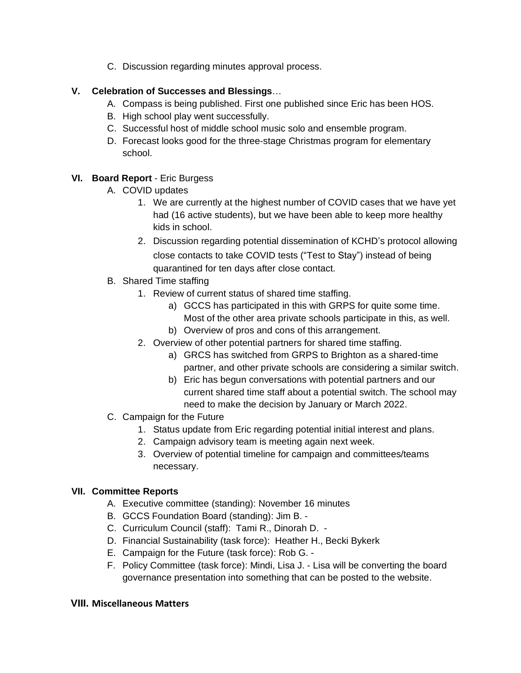C. Discussion regarding minutes approval process.

## **V. Celebration of Successes and Blessings**…

- A. Compass is being published. First one published since Eric has been HOS.
- B. High school play went successfully.
- C. Successful host of middle school music solo and ensemble program.
- D. Forecast looks good for the three-stage Christmas program for elementary school.

## **VI. Board Report** - Eric Burgess

- A. COVID updates
	- 1. We are currently at the highest number of COVID cases that we have yet had (16 active students), but we have been able to keep more healthy kids in school.
	- 2. Discussion regarding potential dissemination of KCHD's protocol allowing close contacts to take COVID tests ("Test to Stay") instead of being quarantined for ten days after close contact.
- B. Shared Time staffing
	- 1. Review of current status of shared time staffing.
		- a) GCCS has participated in this with GRPS for quite some time. Most of the other area private schools participate in this, as well.
		- b) Overview of pros and cons of this arrangement.
	- 2. Overview of other potential partners for shared time staffing.
		- a) GRCS has switched from GRPS to Brighton as a shared-time partner, and other private schools are considering a similar switch.
		- b) Eric has begun conversations with potential partners and our current shared time staff about a potential switch. The school may need to make the decision by January or March 2022.
- C. Campaign for the Future
	- 1. Status update from Eric regarding potential initial interest and plans.
	- 2. Campaign advisory team is meeting again next week.
	- 3. Overview of potential timeline for campaign and committees/teams necessary.

### **VII. Committee Reports**

- A. Executive committee (standing): November 16 minutes
- B. GCCS Foundation Board (standing): Jim B. -
- C. Curriculum Council (staff): Tami R., Dinorah D. -
- D. Financial Sustainability (task force): Heather H., Becki Bykerk
- E. Campaign for the Future (task force): Rob G. -
- F. Policy Committee (task force): Mindi, Lisa J. Lisa will be converting the board governance presentation into something that can be posted to the website.

### **VIII. Miscellaneous Matters**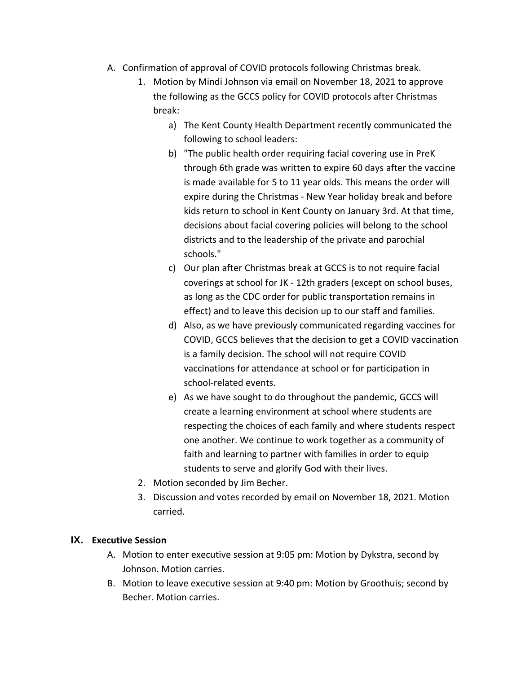- A. Confirmation of approval of COVID protocols following Christmas break.
	- 1. Motion by Mindi Johnson via email on November 18, 2021 to approve the following as the GCCS policy for COVID protocols after Christmas break:
		- a) The Kent County Health Department recently communicated the following to school leaders:
		- b) "The public health order requiring facial covering use in PreK through 6th grade was written to expire 60 days after the vaccine is made available for 5 to 11 year olds. This means the order will expire during the Christmas - New Year holiday break and before kids return to school in Kent County on January 3rd. At that time, decisions about facial covering policies will belong to the school districts and to the leadership of the private and parochial schools."
		- c) Our plan after Christmas break at GCCS is to not require facial coverings at school for JK - 12th graders (except on school buses, as long as the CDC order for public transportation remains in effect) and to leave this decision up to our staff and families.
		- d) Also, as we have previously communicated regarding vaccines for COVID, GCCS believes that the decision to get a COVID vaccination is a family decision. The school will not require COVID vaccinations for attendance at school or for participation in school-related events.
		- e) As we have sought to do throughout the pandemic, GCCS will create a learning environment at school where students are respecting the choices of each family and where students respect one another. We continue to work together as a community of faith and learning to partner with families in order to equip students to serve and glorify God with their lives.
	- 2. Motion seconded by Jim Becher.
	- 3. Discussion and votes recorded by email on November 18, 2021. Motion carried.

## **IX. Executive Session**

- A. Motion to enter executive session at 9:05 pm: Motion by Dykstra, second by Johnson. Motion carries.
- B. Motion to leave executive session at 9:40 pm: Motion by Groothuis; second by Becher. Motion carries.